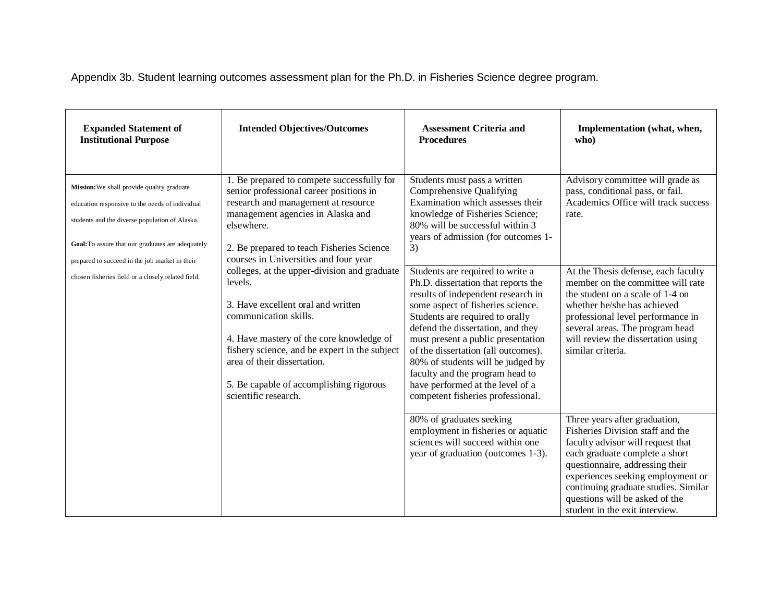Appendix 3b. Student learning outcomes assessment plan for the Ph.D. in Fisheries Science degree program.

| <b>Expanded Statement of</b><br><b>Institutional Purpose</b>                                                                                                                                         | <b>Intended Objectives/Outcomes</b>                                                                                                                                                                                                                                                                                                                                                                                                                                                                                                                                                            | <b>Assessment Criteria and</b><br><b>Procedures</b>                                                                                                                                                                                                                                                                                                                                                                                                      | Implementation (what, when,<br>who)                                                                                                                                                                                                                                                                                          |
|------------------------------------------------------------------------------------------------------------------------------------------------------------------------------------------------------|------------------------------------------------------------------------------------------------------------------------------------------------------------------------------------------------------------------------------------------------------------------------------------------------------------------------------------------------------------------------------------------------------------------------------------------------------------------------------------------------------------------------------------------------------------------------------------------------|----------------------------------------------------------------------------------------------------------------------------------------------------------------------------------------------------------------------------------------------------------------------------------------------------------------------------------------------------------------------------------------------------------------------------------------------------------|------------------------------------------------------------------------------------------------------------------------------------------------------------------------------------------------------------------------------------------------------------------------------------------------------------------------------|
| Mission: We shall provide quality graduate<br>education responsive to the needs of individual<br>students and the diverse population of Alaska.<br>Goal: To assure that our graduates are adequately | 1. Be prepared to compete successfully for<br>senior professional career positions in<br>research and management at resource<br>management agencies in Alaska and<br>elsewhere.<br>2. Be prepared to teach Fisheries Science<br>courses in Universities and four year<br>colleges, at the upper-division and graduate<br>levels.<br>3. Have excellent oral and written<br>communication skills.<br>4. Have mastery of the core knowledge of<br>fishery science, and be expert in the subject<br>area of their dissertation.<br>5. Be capable of accomplishing rigorous<br>scientific research. | Students must pass a written<br>Comprehensive Qualifying<br>Examination which assesses their<br>knowledge of Fisheries Science;<br>80% will be successful within 3<br>years of admission (for outcomes 1-<br>3)                                                                                                                                                                                                                                          | Advisory committee will grade as<br>pass, conditional pass, or fail.<br>Academics Office will track success<br>rate.                                                                                                                                                                                                         |
| prepared to succeed in the job market in their<br>chosen fisheries field or a closely related field.                                                                                                 |                                                                                                                                                                                                                                                                                                                                                                                                                                                                                                                                                                                                | Students are required to write a<br>Ph.D. dissertation that reports the<br>results of independent research in<br>some aspect of fisheries science.<br>Students are required to orally<br>defend the dissertation, and they<br>must present a public presentation<br>of the dissertation (all outcomes).<br>80% of students will be judged by<br>faculty and the program head to<br>have performed at the level of a<br>competent fisheries professional. | At the Thesis defense, each faculty<br>member on the committee will rate<br>the student on a scale of 1-4 on<br>whether he/she has achieved<br>professional level performance in<br>several areas. The program head<br>will review the dissertation using<br>similar criteria.                                               |
|                                                                                                                                                                                                      |                                                                                                                                                                                                                                                                                                                                                                                                                                                                                                                                                                                                | 80% of graduates seeking<br>employment in fisheries or aquatic<br>sciences will succeed within one<br>year of graduation (outcomes 1-3).                                                                                                                                                                                                                                                                                                                 | Three years after graduation,<br>Fisheries Division staff and the<br>faculty advisor will request that<br>each graduate complete a short<br>questionnaire, addressing their<br>experiences seeking employment or<br>continuing graduate studies. Similar<br>questions will be asked of the<br>student in the exit interview. |